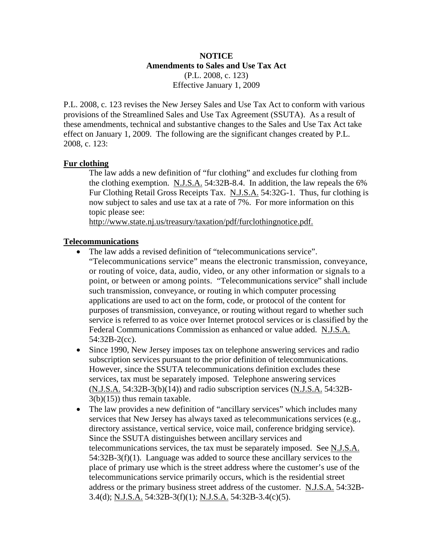# **NOTICE Amendments to Sales and Use Tax Act**  (P.L. 2008, c. 123) Effective January 1, 2009

P.L. 2008, c. 123 revises the New Jersey Sales and Use Tax Act to conform with various provisions of the Streamlined Sales and Use Tax Agreement (SSUTA). As a result of these amendments, technical and substantive changes to the Sales and Use Tax Act take effect on January 1, 2009. The following are the significant changes created by P.L. 2008, c. 123:

## **Fur clothing**

The law adds a new definition of "fur clothing" and excludes fur clothing from the clothing exemption. N.J.S.A. 54:32B-8.4. In addition, the law repeals the 6% Fur Clothing Retail Gross Receipts Tax. N.J.S.A. 54:32G-1. Thus, fur clothing is now subject to sales and use tax at a rate of 7%. For more information on this topic please see:

http://www.state.nj.us/treasury/taxation/pdf/furclothingnotice.pdf.

## **Telecommunications**

- The law adds a revised definition of "telecommunications service". "Telecommunications service" means the electronic transmission, conveyance, or routing of voice, data, audio, video, or any other information or signals to a point, or between or among points. "Telecommunications service" shall include such transmission, conveyance, or routing in which computer processing applications are used to act on the form, code, or protocol of the content for purposes of transmission, conveyance, or routing without regard to whether such service is referred to as voice over Internet protocol services or is classified by the Federal Communications Commission as enhanced or value added. N.J.S.A. 54:32B-2(cc).
- Since 1990, New Jersey imposes tax on telephone answering services and radio subscription services pursuant to the prior definition of telecommunications. However, since the SSUTA telecommunications definition excludes these services, tax must be separately imposed. Telephone answering services (N.J.S.A. 54:32B-3(b)(14)) and radio subscription services (N.J.S.A. 54:32B-3(b)(15)) thus remain taxable.
- The law provides a new definition of "ancillary services" which includes many services that New Jersey has always taxed as telecommunications services (e.g., directory assistance, vertical service, voice mail, conference bridging service). Since the SSUTA distinguishes between ancillary services and telecommunications services, the tax must be separately imposed. See N.J.S.A. 54:32B-3(f)(1). Language was added to source these ancillary services to the place of primary use which is the street address where the customer's use of the telecommunications service primarily occurs, which is the residential street address or the primary business street address of the customer. N.J.S.A. 54:32B-3.4(d); N.J.S.A. 54:32B-3(f)(1); N.J.S.A. 54:32B-3.4(c)(5).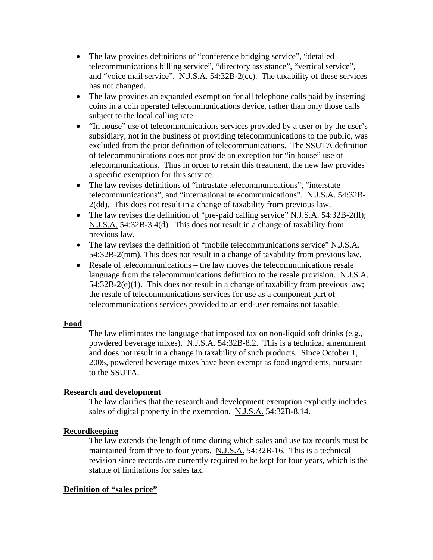- The law provides definitions of "conference bridging service", "detailed telecommunications billing service", "directory assistance", "vertical service", and "voice mail service". N.J.S.A. 54:32B-2(cc). The taxability of these services has not changed.
- The law provides an expanded exemption for all telephone calls paid by inserting coins in a coin operated telecommunications device, rather than only those calls subject to the local calling rate.
- "In house" use of telecommunications services provided by a user or by the user's subsidiary, not in the business of providing telecommunications to the public, was excluded from the prior definition of telecommunications. The SSUTA definition of telecommunications does not provide an exception for "in house" use of telecommunications. Thus in order to retain this treatment, the new law provides a specific exemption for this service.
- The law revises definitions of "intrastate telecommunications", "interstate telecommunications", and "international telecommunications". N.J.S.A. 54:32B-2(dd). This does not result in a change of taxability from previous law.
- The law revises the definition of "pre-paid calling service" N.J.S.A. 54:32B-2(ll); N.J.S.A. 54:32B-3.4(d). This does not result in a change of taxability from previous law.
- The law revises the definition of "mobile telecommunications service" N.J.S.A. 54:32B-2(mm). This does not result in a change of taxability from previous law.
- Resale of telecommunications the law moves the telecommunications resale language from the telecommunications definition to the resale provision. N.J.S.A. 54:32B-2(e)(1). This does not result in a change of taxability from previous law; the resale of telecommunications services for use as a component part of telecommunications services provided to an end-user remains not taxable.

## **Food**

The law eliminates the language that imposed tax on non-liquid soft drinks (e.g., powdered beverage mixes). N.J.S.A. 54:32B-8.2. This is a technical amendment and does not result in a change in taxability of such products. Since October 1, 2005, powdered beverage mixes have been exempt as food ingredients, pursuant to the SSUTA.

#### **Research and development**

The law clarifies that the research and development exemption explicitly includes sales of digital property in the exemption. N.J.S.A. 54:32B-8.14.

## **Recordkeeping**

The law extends the length of time during which sales and use tax records must be maintained from three to four years. N.J.S.A. 54:32B-16. This is a technical revision since records are currently required to be kept for four years, which is the statute of limitations for sales tax.

#### **Definition of "sales price"**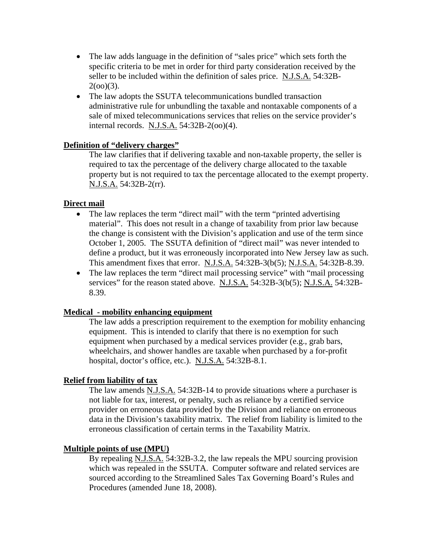- The law adds language in the definition of "sales price" which sets forth the specific criteria to be met in order for third party consideration received by the seller to be included within the definition of sales price. N.J.S.A. 54:32B- $2(oo)(3)$ .
- The law adopts the SSUTA telecommunications bundled transaction administrative rule for unbundling the taxable and nontaxable components of a sale of mixed telecommunications services that relies on the service provider's internal records. N.J.S.A. 54:32B-2(oo)(4).

## **Definition of "delivery charges"**

The law clarifies that if delivering taxable and non-taxable property, the seller is required to tax the percentage of the delivery charge allocated to the taxable property but is not required to tax the percentage allocated to the exempt property. N.J.S.A. 54:32B-2(rr).

#### **Direct mail**

- The law replaces the term "direct mail" with the term "printed advertising material". This does not result in a change of taxability from prior law because the change is consistent with the Division's application and use of the term since October 1, 2005. The SSUTA definition of "direct mail" was never intended to define a product, but it was erroneously incorporated into New Jersey law as such. This amendment fixes that error. N.J.S.A. 54:32B-3(b(5); N.J.S.A. 54:32B-8.39.
- The law replaces the term "direct mail processing service" with "mail processing" services" for the reason stated above. N.J.S.A. 54:32B-3(b(5); N.J.S.A. 54:32B-8.39.

#### **Medical - mobility enhancing equipment**

The law adds a prescription requirement to the exemption for mobility enhancing equipment. This is intended to clarify that there is no exemption for such equipment when purchased by a medical services provider (e.g., grab bars, wheelchairs, and shower handles are taxable when purchased by a for-profit hospital, doctor's office, etc.). N.J.S.A. 54:32B-8.1.

#### **Relief from liability of tax**

The law amends N.J.S.A. 54:32B-14 to provide situations where a purchaser is not liable for tax, interest, or penalty, such as reliance by a certified service provider on erroneous data provided by the Division and reliance on erroneous data in the Division's taxability matrix. The relief from liability is limited to the erroneous classification of certain terms in the Taxability Matrix.

#### **Multiple points of use (MPU)**

By repealing N.J.S.A. 54:32B-3.2, the law repeals the MPU sourcing provision which was repealed in the SSUTA. Computer software and related services are sourced according to the Streamlined Sales Tax Governing Board's Rules and Procedures (amended June 18, 2008).